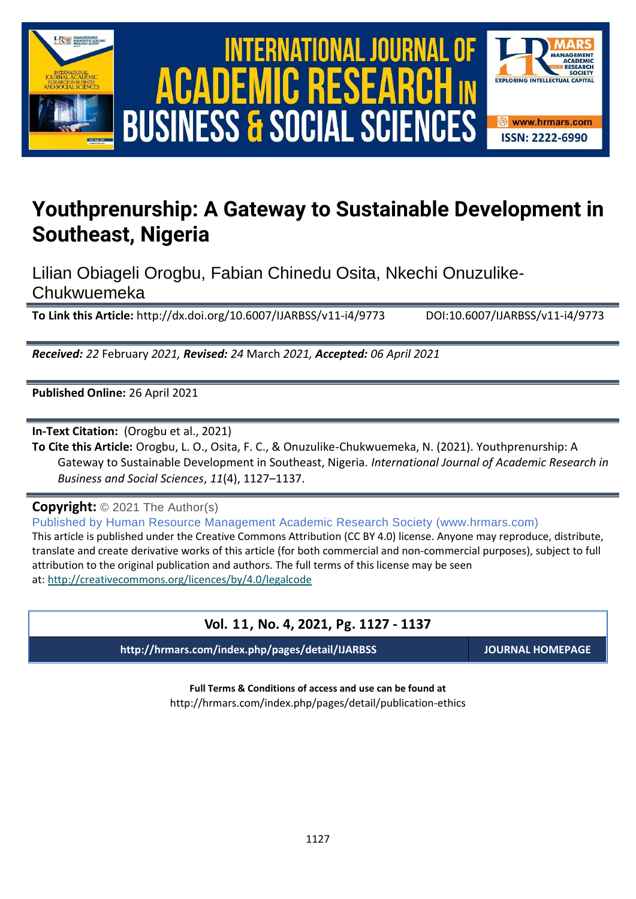

# International Journal of Academic Research in Business and Social Sciences **Vol. 1 1 , No. 4, 2021, E-ISSN: 2222-6990 © 2021 HRMARS ACADEMIC BUSINESS & SOCIAL SCIENCES**



# **Youthprenurship: A Gateway to Sustainable Development in Southeast, Nigeria**

Lilian Obiageli Orogbu, Fabian Chinedu Osita, Nkechi Onuzulike-Chukwuemeka

**To Link this Article:** http://dx.doi.org/10.6007/IJARBSS/v11-i4/9773 DOI:10.6007/IJARBSS/v11-i4/9773

*Received: 22* February *2021, Revised: 24* March *2021, Accepted: 06 April 2021*

**Published Online:** 26 April 2021

**In-Text Citation:** (Orogbu et al., 2021)

**To Cite this Article:** Orogbu, L. O., Osita, F. C., & Onuzulike-Chukwuemeka, N. (2021). Youthprenurship: A Gateway to Sustainable Development in Southeast, Nigeria. *International Journal of Academic Research in Business and Social Sciences*, *11*(4), 1127–1137.

**Copyright:** © 2021 The Author(s)

Published by Human Resource Management Academic Research Society (www.hrmars.com) This article is published under the Creative Commons Attribution (CC BY 4.0) license. Anyone may reproduce, distribute, translate and create derivative works of this article (for both commercial and non-commercial purposes), subject to full attribution to the original publication and authors. The full terms of this license may be seen at: <http://creativecommons.org/licences/by/4.0/legalcode>

# **Vol. 11, No. 4, 2021, Pg. 1127 - 1137**

**http://hrmars.com/index.php/pages/detail/IJARBSS JOURNAL HOMEPAGE**

**Full Terms & Conditions of access and use can be found at** http://hrmars.com/index.php/pages/detail/publication-ethics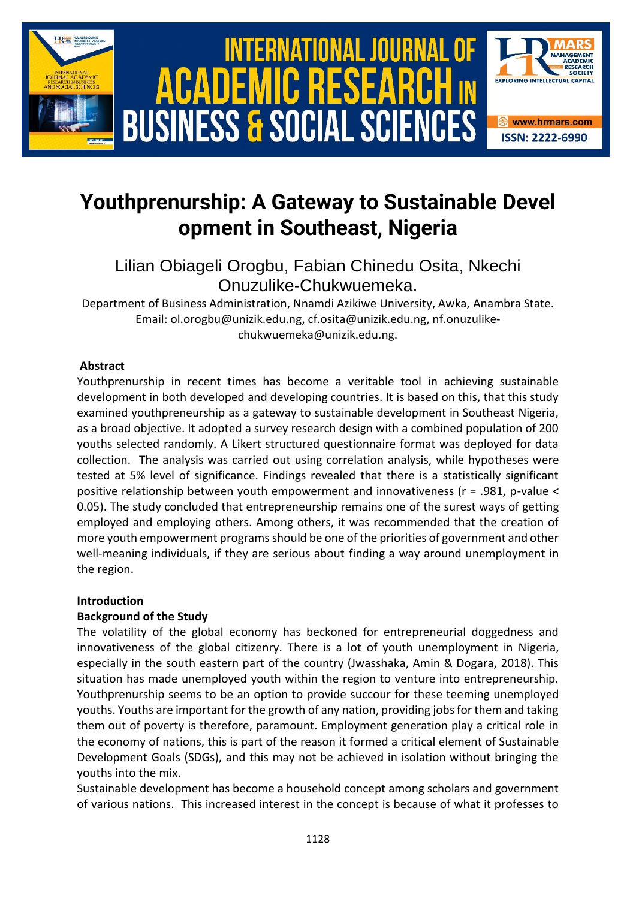

# **Youthprenurship: A Gateway to Sustainable Devel opment in Southeast, Nigeria**

# Lilian Obiageli Orogbu, Fabian Chinedu Osita, Nkechi Onuzulike-Chukwuemeka.

Department of Business Administration, Nnamdi Azikiwe University, Awka, Anambra State. Email: ol.orogbu@unizik.edu.ng, cf.osita@unizik.edu.ng, nf.onuzulikechukwuemeka@unizik.edu.ng.

# **Abstract**

Youthprenurship in recent times has become a veritable tool in achieving sustainable development in both developed and developing countries. It is based on this, that this study examined youthpreneurship as a gateway to sustainable development in Southeast Nigeria, as a broad objective. It adopted a survey research design with a combined population of 200 youths selected randomly. A Likert structured questionnaire format was deployed for data collection. The analysis was carried out using correlation analysis, while hypotheses were tested at 5% level of significance. Findings revealed that there is a statistically significant positive relationship between youth empowerment and innovativeness (r = .981, p-value < 0.05). The study concluded that entrepreneurship remains one of the surest ways of getting employed and employing others. Among others, it was recommended that the creation of more youth empowerment programs should be one of the priorities of government and other well-meaning individuals, if they are serious about finding a way around unemployment in the region.

# **Introduction**

# **Background of the Study**

The volatility of the global economy has beckoned for entrepreneurial doggedness and innovativeness of the global citizenry. There is a lot of youth unemployment in Nigeria, especially in the south eastern part of the country (Jwasshaka, Amin & Dogara, 2018). This situation has made unemployed youth within the region to venture into entrepreneurship. Youthprenurship seems to be an option to provide succour for these teeming unemployed youths. Youths are important for the growth of any nation, providing jobs for them and taking them out of poverty is therefore, paramount. Employment generation play a critical role in the economy of nations, this is part of the reason it formed a critical element of Sustainable Development Goals (SDGs), and this may not be achieved in isolation without bringing the youths into the mix.

Sustainable development has become a household concept among scholars and government of various nations. This increased interest in the concept is because of what it professes to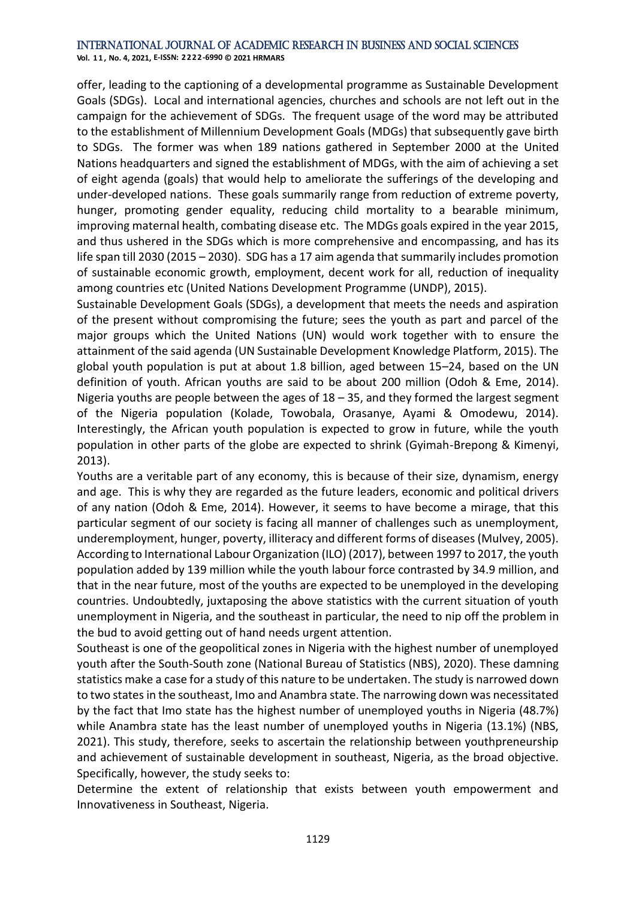**Vol. 1 1 , No. 4, 2021, E-ISSN: 2222-6990 © 2021 HRMARS**

offer, leading to the captioning of a developmental programme as Sustainable Development Goals (SDGs). Local and international agencies, churches and schools are not left out in the campaign for the achievement of SDGs. The frequent usage of the word may be attributed to the establishment of Millennium Development Goals (MDGs) that subsequently gave birth to SDGs. The former was when 189 nations gathered in September 2000 at the United Nations headquarters and signed the establishment of MDGs, with the aim of achieving a set of eight agenda (goals) that would help to ameliorate the sufferings of the developing and under-developed nations. These goals summarily range from reduction of extreme poverty, hunger, promoting gender equality, reducing child mortality to a bearable minimum, improving maternal health, combating disease etc. The MDGs goals expired in the year 2015, and thus ushered in the SDGs which is more comprehensive and encompassing, and has its life span till 2030 (2015 – 2030). SDG has a 17 aim agenda that summarily includes promotion of sustainable economic growth, employment, decent work for all, reduction of inequality among countries etc (United Nations Development Programme (UNDP), 2015).

Sustainable Development Goals (SDGs), a development that meets the needs and aspiration of the present without compromising the future; sees the youth as part and parcel of the major groups which the United Nations (UN) would work together with to ensure the attainment of the said agenda (UN Sustainable Development Knowledge Platform, 2015). The global youth population is put at about 1.8 billion, aged between 15–24, based on the UN definition of youth. African youths are said to be about 200 million (Odoh & Eme, 2014). Nigeria youths are people between the ages of 18 – 35, and they formed the largest segment of the Nigeria population (Kolade, Towobala, Orasanye, Ayami & Omodewu, 2014). Interestingly, the African youth population is expected to grow in future, while the youth population in other parts of the globe are expected to shrink (Gyimah-Brepong & Kimenyi, 2013).

Youths are a veritable part of any economy, this is because of their size, dynamism, energy and age. This is why they are regarded as the future leaders, economic and political drivers of any nation (Odoh & Eme, 2014). However, it seems to have become a mirage, that this particular segment of our society is facing all manner of challenges such as unemployment, underemployment, hunger, poverty, illiteracy and different forms of diseases (Mulvey, 2005). According to International Labour Organization (ILO) (2017), between 1997 to 2017, the youth population added by 139 million while the youth labour force contrasted by 34.9 million, and that in the near future, most of the youths are expected to be unemployed in the developing countries. Undoubtedly, juxtaposing the above statistics with the current situation of youth unemployment in Nigeria, and the southeast in particular, the need to nip off the problem in the bud to avoid getting out of hand needs urgent attention.

Southeast is one of the geopolitical zones in Nigeria with the highest number of unemployed youth after the South-South zone (National Bureau of Statistics (NBS), 2020). These damning statistics make a case for a study of this nature to be undertaken. The study is narrowed down to two states in the southeast, Imo and Anambra state. The narrowing down was necessitated by the fact that Imo state has the highest number of unemployed youths in Nigeria (48.7%) while Anambra state has the least number of unemployed youths in Nigeria (13.1%) (NBS, 2021). This study, therefore, seeks to ascertain the relationship between youthpreneurship and achievement of sustainable development in southeast, Nigeria, as the broad objective. Specifically, however, the study seeks to:

Determine the extent of relationship that exists between youth empowerment and Innovativeness in Southeast, Nigeria.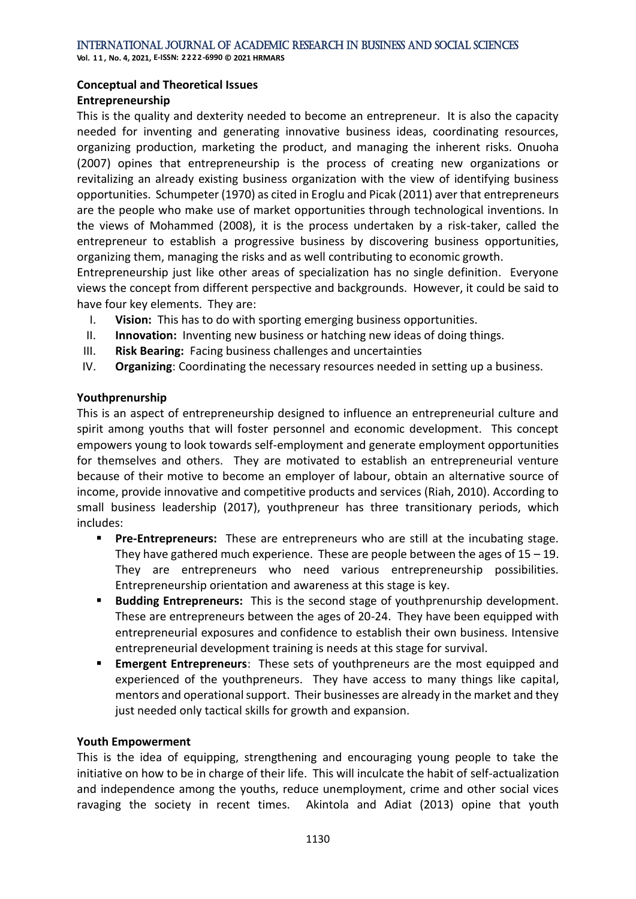**Vol. 1 1 , No. 4, 2021, E-ISSN: 2222-6990 © 2021 HRMARS**

# **Conceptual and Theoretical Issues**

# **Entrepreneurship**

This is the quality and dexterity needed to become an entrepreneur. It is also the capacity needed for inventing and generating innovative business ideas, coordinating resources, organizing production, marketing the product, and managing the inherent risks. Onuoha (2007) opines that entrepreneurship is the process of creating new organizations or revitalizing an already existing business organization with the view of identifying business opportunities. Schumpeter (1970) as cited in Eroglu and Picak (2011) aver that entrepreneurs are the people who make use of market opportunities through technological inventions. In the views of Mohammed (2008), it is the process undertaken by a risk-taker, called the entrepreneur to establish a progressive business by discovering business opportunities, organizing them, managing the risks and as well contributing to economic growth.

Entrepreneurship just like other areas of specialization has no single definition. Everyone views the concept from different perspective and backgrounds. However, it could be said to have four key elements. They are:

- I. **Vision:** This has to do with sporting emerging business opportunities.
- II. **Innovation:** Inventing new business or hatching new ideas of doing things.
- III. **Risk Bearing:** Facing business challenges and uncertainties
- IV. **Organizing**: Coordinating the necessary resources needed in setting up a business.

# **Youthprenurship**

This is an aspect of entrepreneurship designed to influence an entrepreneurial culture and spirit among youths that will foster personnel and economic development. This concept empowers young to look towards self-employment and generate employment opportunities for themselves and others. They are motivated to establish an entrepreneurial venture because of their motive to become an employer of labour, obtain an alternative source of income, provide innovative and competitive products and services (Riah, 2010). According to small business leadership (2017), youthpreneur has three transitionary periods, which includes:

- **Pre-Entrepreneurs:** These are entrepreneurs who are still at the incubating stage. They have gathered much experience. These are people between the ages of  $15 - 19$ . They are entrepreneurs who need various entrepreneurship possibilities. Entrepreneurship orientation and awareness at this stage is key.
- **Budding Entrepreneurs:** This is the second stage of youthprenurship development. These are entrepreneurs between the ages of 20-24. They have been equipped with entrepreneurial exposures and confidence to establish their own business. Intensive entrepreneurial development training is needs at this stage for survival.
- **Emergent Entrepreneurs**: These sets of youthpreneurs are the most equipped and experienced of the youthpreneurs. They have access to many things like capital, mentors and operational support. Their businesses are already in the market and they just needed only tactical skills for growth and expansion.

# **Youth Empowerment**

This is the idea of equipping, strengthening and encouraging young people to take the initiative on how to be in charge of their life. This will inculcate the habit of self-actualization and independence among the youths, reduce unemployment, crime and other social vices ravaging the society in recent times. Akintola and Adiat (2013) opine that youth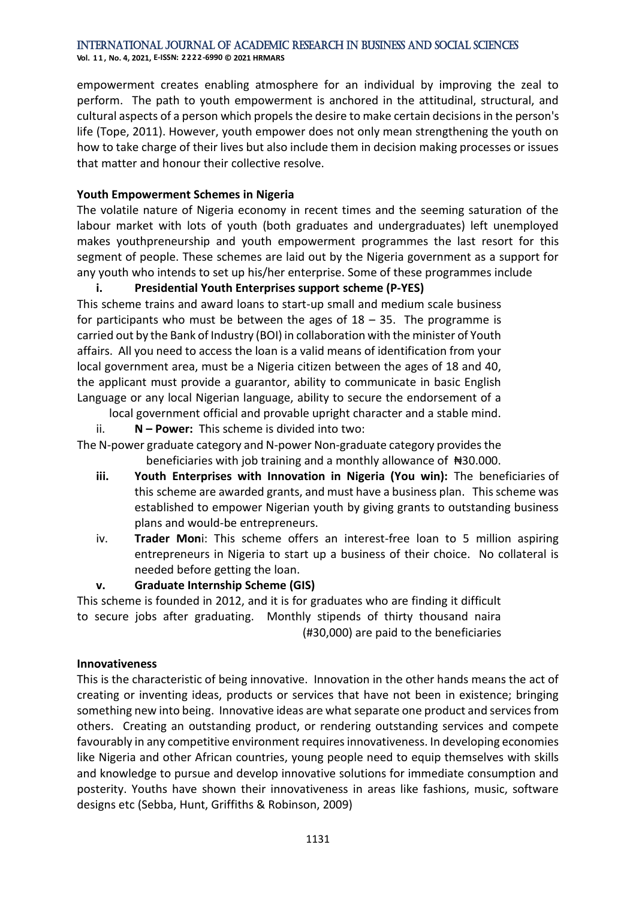**Vol. 1 1 , No. 4, 2021, E-ISSN: 2222-6990 © 2021 HRMARS**

empowerment creates enabling atmosphere for an individual by improving the zeal to perform. The path to youth empowerment is anchored in the attitudinal, structural, and cultural aspects of a person which propels the desire to make certain decisions in the person's life (Tope, 2011). However, youth empower does not only mean strengthening the youth on how to take charge of their lives but also include them in decision making processes or issues that matter and honour their collective resolve.

# **Youth Empowerment Schemes in Nigeria**

The volatile nature of Nigeria economy in recent times and the seeming saturation of the labour market with lots of youth (both graduates and undergraduates) left unemployed makes youthpreneurship and youth empowerment programmes the last resort for this segment of people. These schemes are laid out by the Nigeria government as a support for any youth who intends to set up his/her enterprise. Some of these programmes include

# **i. Presidential Youth Enterprises support scheme (P-YES)**

This scheme trains and award loans to start-up small and medium scale business for participants who must be between the ages of  $18 - 35$ . The programme is carried out by the Bank of Industry (BOI) in collaboration with the minister of Youth affairs. All you need to access the loan is a valid means of identification from your local government area, must be a Nigeria citizen between the ages of 18 and 40, the applicant must provide a guarantor, ability to communicate in basic English Language or any local Nigerian language, ability to secure the endorsement of a

local government official and provable upright character and a stable mind.

ii. **N – Power:** This scheme is divided into two:

The N-power graduate category and N-power Non-graduate category provides the beneficiaries with job training and a monthly allowance of #30.000.

- **iii. Youth Enterprises with Innovation in Nigeria (You win):** The beneficiaries of this scheme are awarded grants, and must have a business plan. This scheme was established to empower Nigerian youth by giving grants to outstanding business plans and would-be entrepreneurs.
- iv. **Trader Mon**i: This scheme offers an interest-free loan to 5 million aspiring entrepreneurs in Nigeria to start up a business of their choice. No collateral is needed before getting the loan.

# **v. Graduate Internship Scheme (GIS)**

This scheme is founded in 2012, and it is for graduates who are finding it difficult to secure jobs after graduating. Monthly stipends of thirty thousand naira (#30,000) are paid to the beneficiaries

# **Innovativeness**

This is the characteristic of being innovative. Innovation in the other hands means the act of creating or inventing ideas, products or services that have not been in existence; bringing something new into being. Innovative ideas are what separate one product and services from others. Creating an outstanding product, or rendering outstanding services and compete favourably in any competitive environment requires innovativeness. In developing economies like Nigeria and other African countries, young people need to equip themselves with skills and knowledge to pursue and develop innovative solutions for immediate consumption and posterity. Youths have shown their innovativeness in areas like fashions, music, software designs etc (Sebba, Hunt, Griffiths & Robinson, 2009)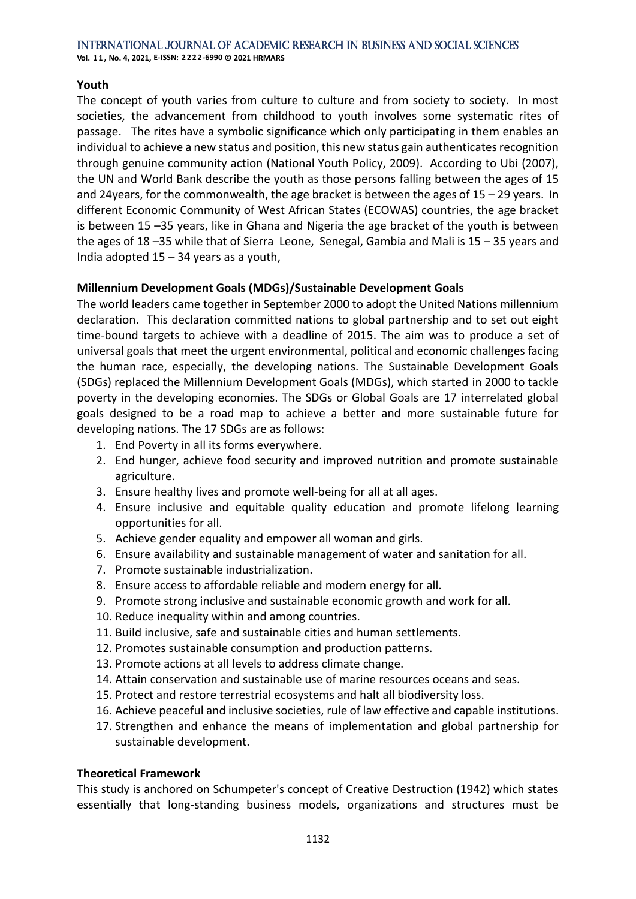#### International Journal of Academic Research in Business and Social Sciences **Vol. 1 1 , No. 4, 2021, E-ISSN: 2222-6990 © 2021 HRMARS**

# **Youth**

The concept of youth varies from culture to culture and from society to society. In most societies, the advancement from childhood to youth involves some systematic rites of passage. The rites have a symbolic significance which only participating in them enables an individual to achieve a new status and position, this new status gain authenticates recognition through genuine community action (National Youth Policy, 2009). According to Ubi (2007), the UN and World Bank describe the youth as those persons falling between the ages of 15 and 24years, for the commonwealth, the age bracket is between the ages of 15 – 29 years. In different Economic Community of West African States (ECOWAS) countries, the age bracket is between 15 –35 years, like in Ghana and Nigeria the age bracket of the youth is between the ages of 18 –35 while that of Sierra Leone, Senegal, Gambia and Mali is 15 – 35 years and India adopted 15 – 34 years as a youth,

# **Millennium Development Goals (MDGs)/Sustainable Development Goals**

The world leaders came together in September 2000 to adopt the United Nations millennium declaration. This declaration committed nations to global partnership and to set out eight time-bound targets to achieve with a deadline of 2015. The aim was to produce a set of universal goals that meet the urgent environmental, political and economic challenges facing the human race, especially, the developing nations. The Sustainable Development Goals (SDGs) replaced the Millennium Development Goals (MDGs), which started in 2000 to tackle poverty in the developing economies. The SDGs or Global Goals are 17 interrelated global goals designed to be a road map to achieve a better and more sustainable future for developing nations. The 17 SDGs are as follows:

- 1. End Poverty in all its forms everywhere.
- 2. End hunger, achieve food security and improved nutrition and promote sustainable agriculture.
- 3. Ensure healthy lives and promote well-being for all at all ages.
- 4. Ensure inclusive and equitable quality education and promote lifelong learning opportunities for all.
- 5. Achieve gender equality and empower all woman and girls.
- 6. Ensure availability and sustainable management of water and sanitation for all.
- 7. Promote sustainable industrialization.
- 8. Ensure access to affordable reliable and modern energy for all.
- 9. Promote strong inclusive and sustainable economic growth and work for all.
- 10. Reduce inequality within and among countries.
- 11. Build inclusive, safe and sustainable cities and human settlements.
- 12. Promotes sustainable consumption and production patterns.
- 13. Promote actions at all levels to address climate change.
- 14. Attain conservation and sustainable use of marine resources oceans and seas.
- 15. Protect and restore terrestrial ecosystems and halt all biodiversity loss.
- 16. Achieve peaceful and inclusive societies, rule of law effective and capable institutions.
- 17. Strengthen and enhance the means of implementation and global partnership for sustainable development.

# **Theoretical Framework**

This study is anchored on Schumpeter's concept of Creative Destruction (1942) which states essentially that long-standing business models, organizations and structures must be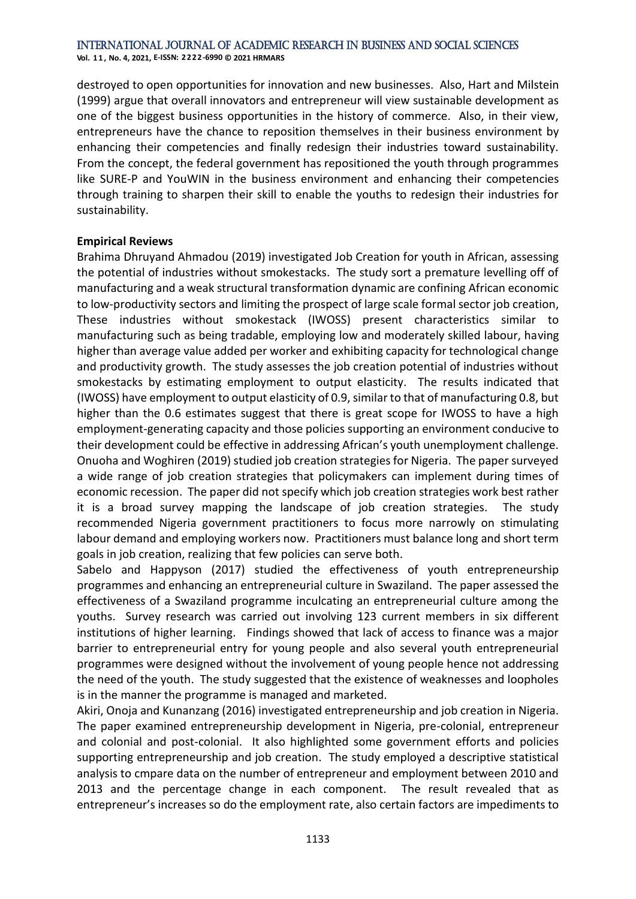**Vol. 1 1 , No. 4, 2021, E-ISSN: 2222-6990 © 2021 HRMARS**

destroyed to open opportunities for innovation and new businesses. Also, Hart and Milstein (1999) argue that overall innovators and entrepreneur will view sustainable development as one of the biggest business opportunities in the history of commerce. Also, in their view, entrepreneurs have the chance to reposition themselves in their business environment by enhancing their competencies and finally redesign their industries toward sustainability. From the concept, the federal government has repositioned the youth through programmes like SURE-P and YouWIN in the business environment and enhancing their competencies through training to sharpen their skill to enable the youths to redesign their industries for sustainability.

# **Empirical Reviews**

Brahima Dhruyand Ahmadou (2019) investigated Job Creation for youth in African, assessing the potential of industries without smokestacks. The study sort a premature levelling off of manufacturing and a weak structural transformation dynamic are confining African economic to low-productivity sectors and limiting the prospect of large scale formal sector job creation, These industries without smokestack (IWOSS) present characteristics similar to manufacturing such as being tradable, employing low and moderately skilled labour, having higher than average value added per worker and exhibiting capacity for technological change and productivity growth. The study assesses the job creation potential of industries without smokestacks by estimating employment to output elasticity. The results indicated that (IWOSS) have employment to output elasticity of 0.9, similar to that of manufacturing 0.8, but higher than the 0.6 estimates suggest that there is great scope for IWOSS to have a high employment-generating capacity and those policies supporting an environment conducive to their development could be effective in addressing African's youth unemployment challenge. Onuoha and Woghiren (2019) studied job creation strategies for Nigeria. The paper surveyed a wide range of job creation strategies that policymakers can implement during times of economic recession. The paper did not specify which job creation strategies work best rather it is a broad survey mapping the landscape of job creation strategies. The study recommended Nigeria government practitioners to focus more narrowly on stimulating labour demand and employing workers now. Practitioners must balance long and short term goals in job creation, realizing that few policies can serve both.

Sabelo and Happyson (2017) studied the effectiveness of youth entrepreneurship programmes and enhancing an entrepreneurial culture in Swaziland. The paper assessed the effectiveness of a Swaziland programme inculcating an entrepreneurial culture among the youths. Survey research was carried out involving 123 current members in six different institutions of higher learning. Findings showed that lack of access to finance was a major barrier to entrepreneurial entry for young people and also several youth entrepreneurial programmes were designed without the involvement of young people hence not addressing the need of the youth. The study suggested that the existence of weaknesses and loopholes is in the manner the programme is managed and marketed.

Akiri, Onoja and Kunanzang (2016) investigated entrepreneurship and job creation in Nigeria. The paper examined entrepreneurship development in Nigeria, pre-colonial, entrepreneur and colonial and post-colonial. It also highlighted some government efforts and policies supporting entrepreneurship and job creation. The study employed a descriptive statistical analysis to cmpare data on the number of entrepreneur and employment between 2010 and 2013 and the percentage change in each component. The result revealed that as entrepreneur's increases so do the employment rate, also certain factors are impediments to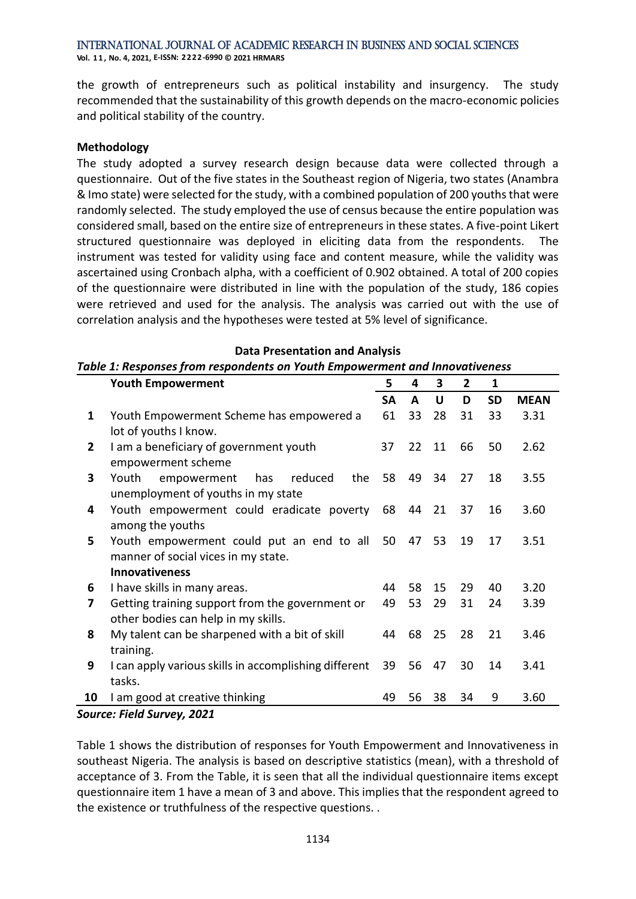**Vol. 1 1 , No. 4, 2021, E-ISSN: 2222-6990 © 2021 HRMARS**

the growth of entrepreneurs such as political instability and insurgency. The study recommended that the sustainability of this growth depends on the macro-economic policies and political stability of the country.

# **Methodology**

The study adopted a survey research design because data were collected through a questionnaire. Out of the five states in the Southeast region of Nigeria, two states (Anambra & Imo state) were selected for the study, with a combined population of 200 youths that were randomly selected. The study employed the use of census because the entire population was considered small, based on the entire size of entrepreneurs in these states. A five-point Likert structured questionnaire was deployed in eliciting data from the respondents. The instrument was tested for validity using face and content measure, while the validity was ascertained using Cronbach alpha, with a coefficient of 0.902 obtained. A total of 200 copies of the questionnaire were distributed in line with the population of the study, 186 copies were retrieved and used for the analysis. The analysis was carried out with the use of correlation analysis and the hypotheses were tested at 5% level of significance.

# **Data Presentation and Analysis** *Table 1: Responses from respondents on Youth Empowerment and Innovativeness*

|              | <b>Youth Empowerment</b>                              | 5         | 4  | 3  | 2  | 1         |             |
|--------------|-------------------------------------------------------|-----------|----|----|----|-----------|-------------|
|              |                                                       | <b>SA</b> | A  | U  | D  | <b>SD</b> | <b>MEAN</b> |
| 1            | Youth Empowerment Scheme has empowered a              | 61        | 33 | 28 | 31 | 33        | 3.31        |
|              | lot of youths I know.                                 |           |    |    |    |           |             |
| $\mathbf{2}$ | I am a beneficiary of government youth                | 37        | 22 | 11 | 66 | 50        | 2.62        |
|              | empowerment scheme                                    |           |    |    |    |           |             |
| 3            | reduced<br>the<br>Youth<br>empowerment<br>has         | 58        | 49 | 34 | 27 | 18        | 3.55        |
|              | unemployment of youths in my state                    |           |    |    |    |           |             |
| 4            | Youth empowerment could eradicate poverty             | 68        | 44 | 21 | 37 | 16        | 3.60        |
|              | among the youths                                      |           |    |    |    |           |             |
| 5            | Youth empowerment could put an end to all             | 50        | 47 | 53 | 19 | 17        | 3.51        |
|              | manner of social vices in my state.                   |           |    |    |    |           |             |
|              | <b>Innovativeness</b>                                 |           |    |    |    |           |             |
| 6            | I have skills in many areas.                          | 44        | 58 | 15 | 29 | 40        | 3.20        |
| 7            | Getting training support from the government or       | 49        | 53 | 29 | 31 | 24        | 3.39        |
|              | other bodies can help in my skills.                   |           |    |    |    |           |             |
| 8            | My talent can be sharpened with a bit of skill        | 44        | 68 | 25 | 28 | 21        | 3.46        |
|              | training.                                             |           |    |    |    |           |             |
| 9            | I can apply various skills in accomplishing different | 39        | 56 | 47 | 30 | 14        | 3.41        |
|              | tasks.                                                |           |    |    |    |           |             |
| 10           | I am good at creative thinking                        | 49        | 56 | 38 | 34 | 9         | 3.60        |

*Source: Field Survey, 2021*

Table 1 shows the distribution of responses for Youth Empowerment and Innovativeness in southeast Nigeria. The analysis is based on descriptive statistics (mean), with a threshold of acceptance of 3. From the Table, it is seen that all the individual questionnaire items except questionnaire item 1 have a mean of 3 and above. This implies that the respondent agreed to the existence or truthfulness of the respective questions. .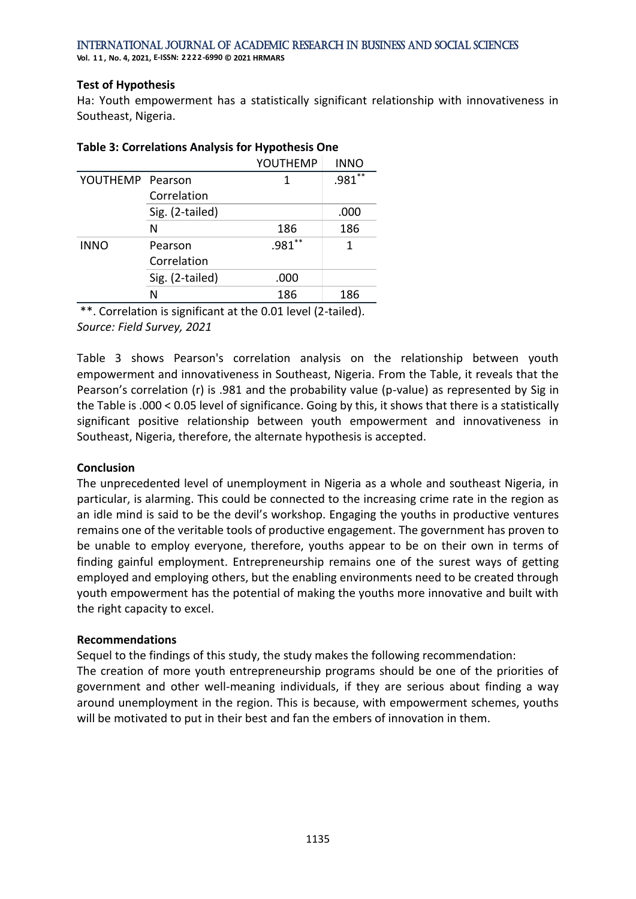**Vol. 1 1 , No. 4, 2021, E-ISSN: 2222-6990 © 2021 HRMARS**

#### **Test of Hypothesis**

Ha: Youth empowerment has a statistically significant relationship with innovativeness in Southeast, Nigeria.

|                  |                 | YOUTHEMP | <b>INNO</b> |
|------------------|-----------------|----------|-------------|
| YOUTHEMP Pearson |                 | 1        | **<br>.981  |
|                  | Correlation     |          |             |
|                  | Sig. (2-tailed) |          | .000        |
|                  | N               | 186      | 186         |
| <b>INNO</b>      | Pearson         | $.981**$ | 1           |
|                  | Correlation     |          |             |
|                  | Sig. (2-tailed) | .000     |             |
|                  | N               | 186      | 186         |

# **Table 3: Correlations Analysis for Hypothesis One**

\*\*. Correlation is significant at the 0.01 level (2-tailed). *Source: Field Survey, 2021*

Table 3 shows Pearson's correlation analysis on the relationship between youth empowerment and innovativeness in Southeast, Nigeria. From the Table, it reveals that the Pearson's correlation (r) is .981 and the probability value (p-value) as represented by Sig in the Table is .000 < 0.05 level of significance. Going by this, it shows that there is a statistically significant positive relationship between youth empowerment and innovativeness in Southeast, Nigeria, therefore, the alternate hypothesis is accepted.

# **Conclusion**

The unprecedented level of unemployment in Nigeria as a whole and southeast Nigeria, in particular, is alarming. This could be connected to the increasing crime rate in the region as an idle mind is said to be the devil's workshop. Engaging the youths in productive ventures remains one of the veritable tools of productive engagement. The government has proven to be unable to employ everyone, therefore, youths appear to be on their own in terms of finding gainful employment. Entrepreneurship remains one of the surest ways of getting employed and employing others, but the enabling environments need to be created through youth empowerment has the potential of making the youths more innovative and built with the right capacity to excel.

# **Recommendations**

Sequel to the findings of this study, the study makes the following recommendation: The creation of more youth entrepreneurship programs should be one of the priorities of government and other well-meaning individuals, if they are serious about finding a way around unemployment in the region. This is because, with empowerment schemes, youths will be motivated to put in their best and fan the embers of innovation in them.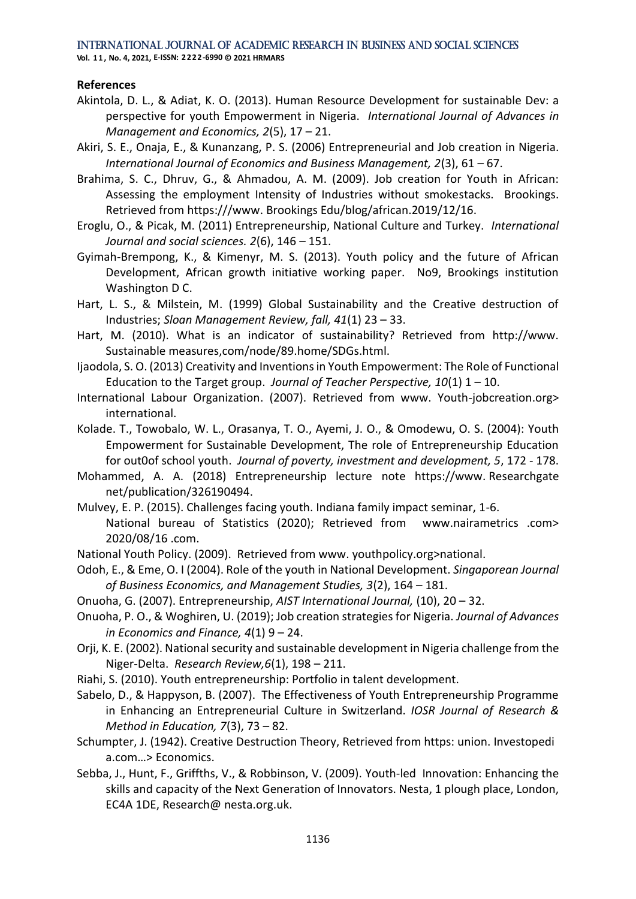**Vol. 1 1 , No. 4, 2021, E-ISSN: 2222-6990 © 2021 HRMARS**

# **References**

- Akintola, D. L., & Adiat, K. O. (2013). Human Resource Development for sustainable Dev: a perspective for youth Empowerment in Nigeria. *International Journal of Advances in Management and Economics, 2*(5), 17 – 21.
- Akiri, S. E., Onaja, E., & Kunanzang, P. S. (2006) Entrepreneurial and Job creation in Nigeria. *International Journal of Economics and Business Management, 2*(3), 61 – 67.
- Brahima, S. C., Dhruv, G., & Ahmadou, A. M. (2009). Job creation for Youth in African: Assessing the employment Intensity of Industries without smokestacks. Brookings. Retrieved from https:///www. Brookings Edu/blog/african.2019/12/16.
- Eroglu, O., & Picak, M. (2011) Entrepreneurship, National Culture and Turkey. *International Journal and social sciences. 2*(6), 146 – 151.
- Gyimah-Brempong, K., & Kimenyr, M. S. (2013). Youth policy and the future of African Development, African growth initiative working paper. No9, Brookings institution Washington D C.
- Hart, L. S., & Milstein, M. (1999) Global Sustainability and the Creative destruction of Industries; *Sloan Management Review, fall, 41*(1) 23 – 33.
- Hart, M. (2010). What is an indicator of sustainability? Retrieved from http://www. Sustainable measures,com/node/89.home/SDGs.html.
- Ijaodola, S. O. (2013) Creativity and Inventions in Youth Empowerment: The Role of Functional Education to the Target group. *Journal of Teacher Perspective, 10*(1) 1 – 10.
- International Labour Organization. (2007). Retrieved from www. Youth-jobcreation.org> international.
- Kolade. T., Towobalo, W. L., Orasanya, T. O., Ayemi, J. O., & Omodewu, O. S. (2004): Youth Empowerment for Sustainable Development, The role of Entrepreneurship Education for out0of school youth. *Journal of poverty, investment and development, 5*, 172 - 178.
- Mohammed, A. A. (2018) Entrepreneurship lecture note https://www. Researchgate net/publication/326190494.
- Mulvey, E. P. (2015). Challenges facing youth. Indiana family impact seminar, 1-6. National bureau of Statistics (2020); Retrieved from www.nairametrics .com> 2020/08/16 .com.
- National Youth Policy. (2009). Retrieved from www. youthpolicy.org>national.
- Odoh, E., & Eme, O. I (2004). Role of the youth in National Development. *Singaporean Journal of Business Economics, and Management Studies, 3*(2), 164 – 181.
- Onuoha, G. (2007). Entrepreneurship, *AIST International Journal,* (10), 20 32.
- Onuoha, P. O., & Woghiren, U. (2019); Job creation strategies for Nigeria. *Journal of Advances in Economics and Finance, 4*(1) 9 – 24.
- Orji, K. E. (2002). National security and sustainable development in Nigeria challenge from the Niger-Delta. *Research Review,6*(1), 198 – 211.
- Riahi, S. (2010). Youth entrepreneurship: Portfolio in talent development.
- Sabelo, D., & Happyson, B. (2007). The Effectiveness of Youth Entrepreneurship Programme in Enhancing an Entrepreneurial Culture in Switzerland. *IOSR Journal of Research & Method in Education, 7*(3), 73 – 82.
- Schumpter, J. (1942). Creative Destruction Theory, Retrieved from https: union. Investopedi a.com…> Economics.
- Sebba, J., Hunt, F., Griffths, V., & Robbinson, V. (2009). Youth-led Innovation: Enhancing the skills and capacity of the Next Generation of Innovators. Nesta, 1 plough place, London, EC4A 1DE, Research@ nesta.org.uk.